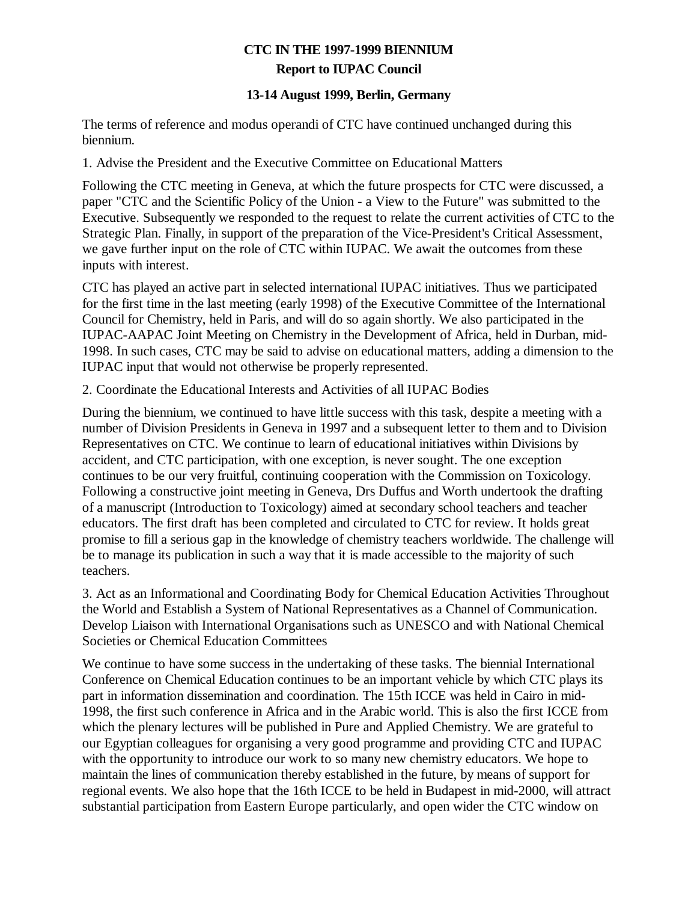## **CTC IN THE 1997-1999 BIENNIUM Report to IUPAC Council**

## **13-14 August 1999, Berlin, Germany**

The terms of reference and modus operandi of CTC have continued unchanged during this biennium.

1. Advise the President and the Executive Committee on Educational Matters

Following the CTC meeting in Geneva, at which the future prospects for CTC were discussed, a paper "CTC and the Scientific Policy of the Union - a View to the Future" was submitted to the Executive. Subsequently we responded to the request to relate the current activities of CTC to the Strategic Plan. Finally, in support of the preparation of the Vice-President's Critical Assessment, we gave further input on the role of CTC within IUPAC. We await the outcomes from these inputs with interest.

CTC has played an active part in selected international IUPAC initiatives. Thus we participated for the first time in the last meeting (early 1998) of the Executive Committee of the International Council for Chemistry, held in Paris, and will do so again shortly. We also participated in the IUPAC-AAPAC Joint Meeting on Chemistry in the Development of Africa, held in Durban, mid-1998. In such cases, CTC may be said to advise on educational matters, adding a dimension to the IUPAC input that would not otherwise be properly represented.

2. Coordinate the Educational Interests and Activities of all IUPAC Bodies

During the biennium, we continued to have little success with this task, despite a meeting with a number of Division Presidents in Geneva in 1997 and a subsequent letter to them and to Division Representatives on CTC. We continue to learn of educational initiatives within Divisions by accident, and CTC participation, with one exception, is never sought. The one exception continues to be our very fruitful, continuing cooperation with the Commission on Toxicology. Following a constructive joint meeting in Geneva, Drs Duffus and Worth undertook the drafting of a manuscript (Introduction to Toxicology) aimed at secondary school teachers and teacher educators. The first draft has been completed and circulated to CTC for review. It holds great promise to fill a serious gap in the knowledge of chemistry teachers worldwide. The challenge will be to manage its publication in such a way that it is made accessible to the majority of such teachers.

3. Act as an Informational and Coordinating Body for Chemical Education Activities Throughout the World and Establish a System of National Representatives as a Channel of Communication. Develop Liaison with International Organisations such as UNESCO and with National Chemical Societies or Chemical Education Committees

We continue to have some success in the undertaking of these tasks. The biennial International Conference on Chemical Education continues to be an important vehicle by which CTC plays its part in information dissemination and coordination. The 15th ICCE was held in Cairo in mid-1998, the first such conference in Africa and in the Arabic world. This is also the first ICCE from which the plenary lectures will be published in Pure and Applied Chemistry. We are grateful to our Egyptian colleagues for organising a very good programme and providing CTC and IUPAC with the opportunity to introduce our work to so many new chemistry educators. We hope to maintain the lines of communication thereby established in the future, by means of support for regional events. We also hope that the 16th ICCE to be held in Budapest in mid-2000, will attract substantial participation from Eastern Europe particularly, and open wider the CTC window on